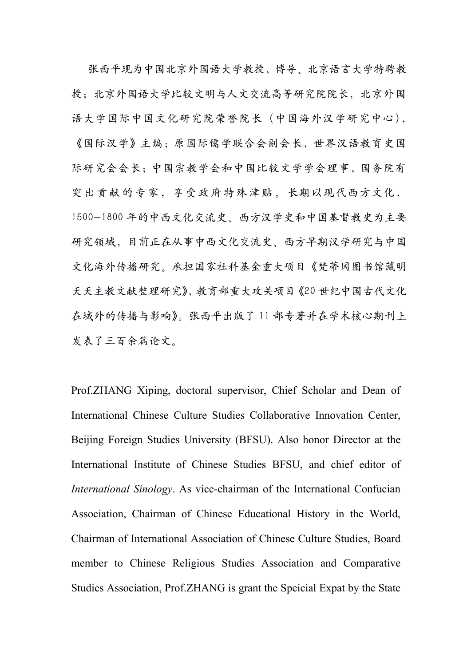张西平现为中国北京外国语大学教授,博导、北京语言大学特聘教 授;北京外国语大学比较文明与人文交流高等研究院院长,北京外国 语大学国际中国文化研究院荣誉院长(中国海外汉学研究中心), 《国际汉学》主编;原国际儒学联合会副会长,世界汉语教育史国 际研究会会长;中国宗教学会和中国比较文学学会理事,国务院有 突出贡献的专家,享受政府特殊津贴。长期以现代西方文化, 1500-1800 年的中西文化交流史、西方汉学史和中国基督教史为主要 研究领域,目前正在从事中西文化交流史、西方早期汉学研究与中国 文化海外传播研究。承担国家社科基金重大项目《梵蒂冈图书馆藏明 天天主教文献整理研究》,教育部重大攻关项目《20 世纪中国古代文化 在域外的传播与影响》。张西平出版了 11 部专著并在学术核心期刊上 发表了三百余篇论文。

Prof.ZHANG Xiping, doctoral supervisor, Chief Scholar and Dean of International Chinese Culture Studies Collaborative Innovation Center, Beijing Foreign Studies University (BFSU). Also honor Director at the International Institute of Chinese Studies BFSU, and chief editor of *International Sinology*. As vice-chairman of the International Confucian Association, Chairman of Chinese Educational History in the World, Chairman of International Association of Chinese Culture Studies, Board member to Chinese Religious Studies Association and Comparative Studies Association, Prof.ZHANG is grant the Speicial Expat by the State